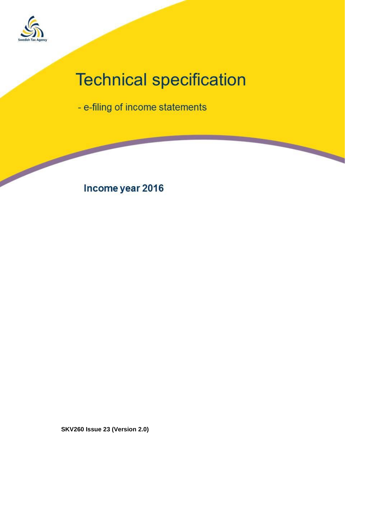

# **Technical specification**

- e-filing of income statements

Income year 2016

**SKV260 Issue 23 (Version 2.0)**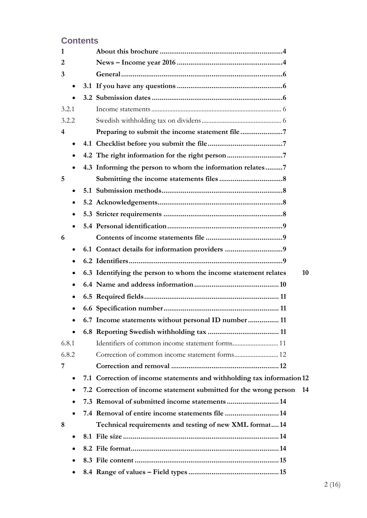# **Contents**

| 1     |           |                                                                         |
|-------|-----------|-------------------------------------------------------------------------|
| 2     |           |                                                                         |
| 3     |           |                                                                         |
|       | $\bullet$ |                                                                         |
|       |           |                                                                         |
| 3.2.1 |           |                                                                         |
| 3.2.2 |           |                                                                         |
| 4     |           |                                                                         |
|       | $\bullet$ |                                                                         |
|       | $\bullet$ | 4.2 The right information for the right person                          |
|       | $\bullet$ | 4.3 Informing the person to whom the information relates7               |
| 5     |           |                                                                         |
|       | $\bullet$ |                                                                         |
|       | ٠         |                                                                         |
|       | ٠         |                                                                         |
|       |           |                                                                         |
| 6     |           |                                                                         |
|       | $\bullet$ |                                                                         |
|       | $\bullet$ |                                                                         |
|       | ٠         | 6.3 Identifying the person to whom the income statement relates<br>10   |
|       | $\bullet$ |                                                                         |
|       | ٠         |                                                                         |
|       |           |                                                                         |
|       |           | 6.7 Income statements without personal ID number  11                    |
|       |           |                                                                         |
| 6.8.1 |           |                                                                         |
| 6.8.2 |           |                                                                         |
| 7     |           |                                                                         |
|       |           | 7.1 Correction of income statements and withholding tax information 12  |
|       |           | 7.2 Correction of income statement submitted for the wrong person<br>14 |
|       |           | 7.3 Removal of submitted income statements 14                           |
|       |           | 7.4 Removal of entire income statements file 14                         |
| 8     |           | Technical requirements and testing of new XML format 14                 |
|       | ٠         |                                                                         |
|       |           |                                                                         |
|       |           |                                                                         |
|       |           |                                                                         |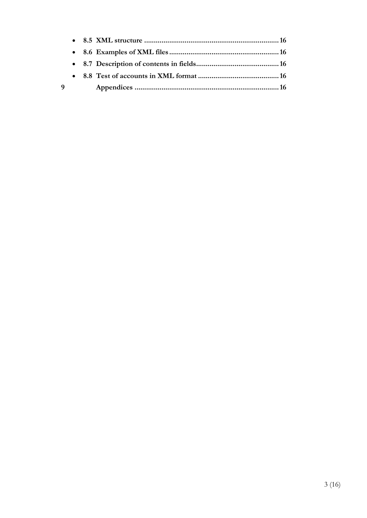| q |  |  |
|---|--|--|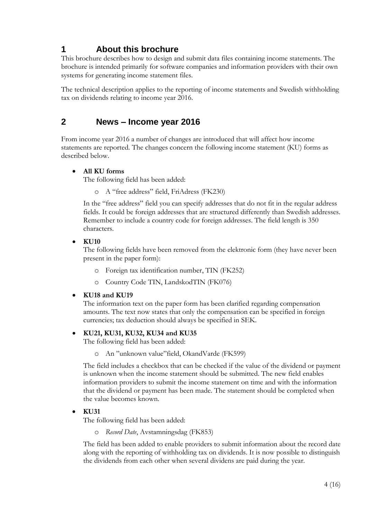# <span id="page-3-0"></span>**1 About this brochure**

This brochure describes how to design and submit data files containing income statements. The brochure is intended primarily for software companies and information providers with their own systems for generating income statement files.

The technical description applies to the reporting of income statements and Swedish withholding tax on dividends relating to income year 2016.

# <span id="page-3-1"></span>**2 News – Income year 2016**

From income year 2016 a number of changes are introduced that will affect how income statements are reported. The changes concern the following income statement (KU) forms as described below.

#### **All KU forms**

The following field has been added:

o A "free address" field, FriAdress (FK230)

In the "free address" field you can specify addresses that do not fit in the regular address fields. It could be foreign addresses that are structured differently than Swedish addresses. Remember to include a country code for foreign addresses. The field length is 350 characters.

#### **KU10**

The following fields have been removed from the elektronic form (they have never been present in the paper form):

- o Foreign tax identification number, TIN (FK252)
- o Country Code TIN, LandskodTIN (FK076)

#### **KU18 and KU19**

The information text on the paper form has been clarified regarding compensation amounts. The text now states that only the compensation can be specified in foreign currencies; tax deduction should always be specified in SEK.

#### **KU21, KU31, KU32, KU34 and KU35**

The following field has been added:

o An "unknown value"field, OkandVarde (FK599)

The field includes a checkbox that can be checked if the value of the dividend or payment is unknown when the income statement should be submitted. The new field enables information providers to submit the income statement on time and with the information that the dividend or payment has been made. The statement should be completed when the value becomes known.

#### **KU31**

The following field has been added:

o *Record Date*, Avstamningsdag (FK853)

The field has been added to enable providers to submit information about the record date along with the reporting of withholding tax on dividends. It is now possible to distinguish the dividends from each other when several dividens are paid during the year.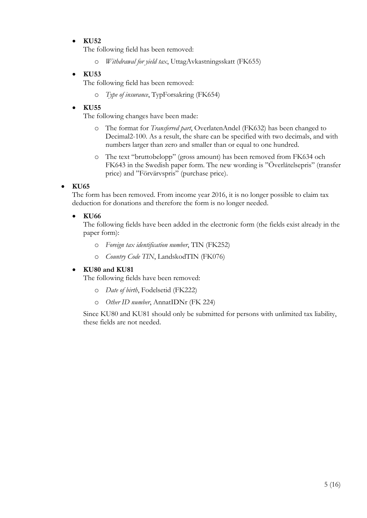#### **KU52**

The following field has been removed:

o *Withdrawal for yield tax*, UttagAvkastningsskatt (FK655)

#### **KU53**

The following field has been removed:

o *Type of insurance*, TypForsakring (FK654)

#### **KU55**

The following changes have been made:

- o The format for *Transferred part*, OverlatenAndel (FK632) has been changed to Decimal2-100. As a result, the share can be specified with two decimals, and with numbers larger than zero and smaller than or equal to one hundred.
- o The text "bruttobelopp" (gross amount) has been removed from FK634 och FK643 in the Swedish paper form. The new wording is "Överlåtelsepris" (transfer price) and "Förvärvspris" (purchase price).

#### **KU65**

The form has been removed. From income year 2016, it is no longer possible to claim tax deduction for donations and therefore the form is no longer needed.

#### **KU66**

The following fields have been added in the electronic form (the fields exist already in the paper form):

- o *Foreign tax identification number*, TIN (FK252)
- o *Country Code TIN*, LandskodTIN (FK076)

#### **KU80 and KU81**

The following fields have been removed:

- o *Date of birth*, Fodelsetid (FK222)
- o *Other ID number*, AnnatIDNr (FK 224)

Since KU80 and KU81 should only be submitted for persons with unlimited tax liability, these fields are not needed.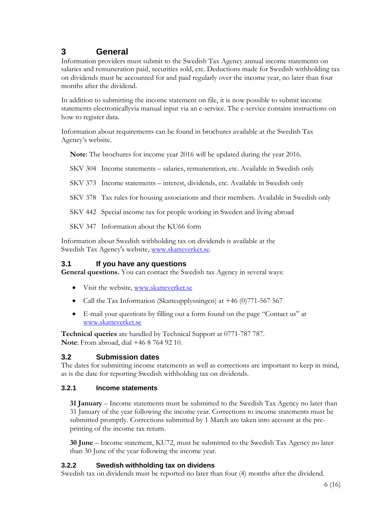# <span id="page-5-0"></span>**3 General**

Information providers must submit to the Swedish Tax Agency annual income statements on salaries and remuneration paid, securities sold, etc. Deductions made for Swedish withholding tax on dividends must be accounted for and paid regularly over the income year, no later than four months after the dividend.

In addition to submitting the income statement on file, it is now possible to submit income statements electronicallyvia manual input via an e-service. The e-service contains instructions on how to register data.

Information about requirements can be found in brochures available at the Swedish Tax Agency's website.

**Note**: The brochures for income year 2016 will be updated during the year 2016.

SKV 304 Income statements – salaries, remuneration, etc. Available in Swedish only

SKV 373 Income statements – interest, dividends, etc. Available in Swedish only

SKV 378 Tax rules for housing associations and their members. Available in Swedish only

SKV 442 Special income tax for people working in Sweden and living abroad

SKV 347 Information about the KU66 form

Information about Swedish withholding tax on dividends is available at the Swedish Tax Agency's website, [www.skatteverket.se.](http://www.skatteverket.se/)

#### <span id="page-5-1"></span>**3.1 If you have any questions**

**General questions.** You can contact the Swedish tax Agency in several ways:

- Visit the website, [www.skatteverket.se](http://www.skatteverket.se/)
- Call the Tax Information (Skatteupplysningen) at +46 (0)771-567 567
- E-mail your questions by filling out a form found on the page "Contact us" at [www.skatteverket.se](http://www.skatteverket.se/)

**Technical queries** are handled by Technical Support at 0771-787 787. **Note**: From abroad, dial +46 8 764 92 10.

#### <span id="page-5-2"></span>**3.2 Submission dates**

The dates for submitting income statements as well as corrections are important to keep in mind, as is the date for reporting Swedish withholding tax on dividends.

#### <span id="page-5-3"></span>**3.2.1 Income statements**

**31 January** – Income statements must be submitted to the Swedish Tax Agency no later than 31 January of the year following the income year. Corrections to income statements must be submitted promptly. Corrections submitted by 1 March are taken into account at the preprinting of the income tax return.

**30 June** – Income statement, KU72, must be submitted to the Swedish Tax Agency no later than 30 June of the year following the income year.

#### <span id="page-5-4"></span>**3.2.2 Swedish withholding tax on dividens**

Swedish tax on dividends must be reported no later than four (4) months after the dividend.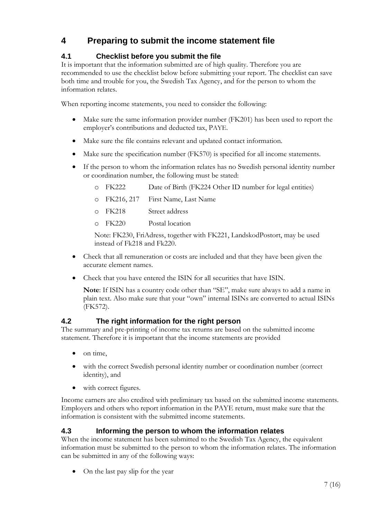# <span id="page-6-0"></span>**4 Preparing to submit the income statement file**

#### <span id="page-6-1"></span>**4.1 Checklist before you submit the file**

It is important that the information submitted are of high quality. Therefore you are recommended to use the checklist below before submitting your report. The checklist can save both time and trouble for you, the Swedish Tax Agency, and for the person to whom the information relates.

When reporting income statements, you need to consider the following:

- Make sure the same information provider number (FK201) has been used to report the employer's contributions and deducted tax, PAYE.
- Make sure the file contains relevant and updated contact information.
- Make sure the specification number (FK570) is specified for all income statements.
- If the person to whom the information relates has no Swedish personal identity number or coordination number, the following must be stated:
	- o FK222 Date of Birth (FK224 Other ID number for legal entities)
	- o FK216, 217 First Name, Last Name
	- o FK218 Street address
	- o FK220 Postal location

Note: FK230, FriAdress, together with FK221, LandskodPostort, may be used instead of Fk218 and Fk220.

- Check that all remuneration or costs are included and that they have been given the accurate element names.
- Check that you have entered the ISIN for all securities that have ISIN.

**Note**: If ISIN has a country code other than "SE", make sure always to add a name in plain text. Also make sure that your "own" internal ISINs are converted to actual ISINs (FK572).

#### <span id="page-6-2"></span>**4.2 The right information for the right person**

The summary and pre-printing of income tax returns are based on the submitted income statement. Therefore it is important that the income statements are provided

- $\bullet$  on time,
- with the correct Swedish personal identity number or coordination number (correct identity), and
- with correct figures.

Income earners are also credited with preliminary tax based on the submitted income statements. Employers and others who report information in the PAYE return, must make sure that the information is consistent with the submitted income statements.

#### <span id="page-6-3"></span>**4.3 Informing the person to whom the information relates**

When the income statement has been submitted to the Swedish Tax Agency, the equivalent information must be submitted to the person to whom the information relates. The information can be submitted in any of the following ways:

• On the last pay slip for the year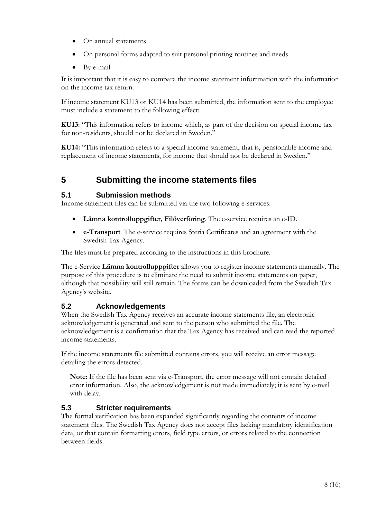- On annual statements
- On personal forms adapted to suit personal printing routines and needs
- By e-mail

It is important that it is easy to compare the income statement inforrmation with the information on the income tax return.

If income statement KU13 or KU14 has been submitted, the information sent to the employee must include a statement to the following effect:

**KU13**: "This information refers to income which, as part of the decision on special income tax for non-residents, should not be declared in Sweden."

**KU14:** "This information refers to a special income statement, that is, pensionable income and replacement of income statements, for income that should not be declared in Sweden."

# <span id="page-7-0"></span>**5 Submitting the income statements files**

#### <span id="page-7-1"></span>**5.1 Submission methods**

Income statement files can be submitted via the two following e-services:

- **Lämna kontrolluppgifter, Filöverföring**. The e-service requires an e-ID.
- **e-Transport**. The e-service requires Steria Certificates and an agreement with the Swedish Tax Agency.

The files must be prepared according to the instructions in this brochure.

The e-Service **Lämna kontrolluppgifter** allows you to register income statements manually. The purpose of this procedure is to eliminate the need to submit income statements on paper, although that possibility will still remain. The forms can be downloaded from the Swedish Tax Agency's website.

#### <span id="page-7-2"></span>**5.2 Acknowledgements**

When the Swedish Tax Agency receives an accurate income statements file, an electronic acknowledgement is generated and sent to the person who submitted the file. The acknowledgement is a confirmation that the Tax Agency has received and can read the reported income statements.

If the income statements file submitted contains errors, you will receive an error message detailing the errors detected.

**Note**: If the file has been sent via e-Transport, the error message will not contain detailed error information. Also, the acknowledgement is not made immediately; it is sent by e-mail with delay.

#### <span id="page-7-3"></span>**5.3 Stricter requirements**

The formal verification has been expanded significantly regarding the contents of income statement files. The Swedish Tax Agency does not accept files lacking mandatory identification data, or that contain formatting errors, field type errors, or errors related to the connection between fields.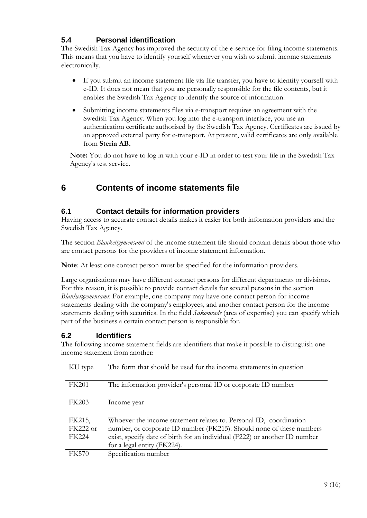### <span id="page-8-0"></span>**5.4 Personal identification**

The Swedish Tax Agency has improved the security of the e-service for filing income statements. This means that you have to identify yourself whenever you wish to submit income statements electronically.

- If you submit an income statement file via file transfer, you have to identify yourself with e-ID. It does not mean that you are personally responsible for the file contents, but it enables the Swedish Tax Agency to identify the source of information.
- Submitting income statements files via e-transport requires an agreement with the Swedish Tax Agency. When you log into the e-transport interface, you use an authentication certificate authorised by the Swedish Tax Agency. Certificates are issued by an approved external party for e-transport. At present, valid certificates are only available from **Steria AB.**

**Note:** You do not have to log in with your e-ID in order to test your file in the Swedish Tax Agency's test service.

# <span id="page-8-1"></span>**6 Contents of income statements file**

#### <span id="page-8-2"></span>**6.1 Contact details for information providers**

Having access to accurate contact details makes it easier for both information providers and the Swedish Tax Agency.

The section *Blankettgemensamt* of the income statement file should contain details about those who are contact persons for the providers of income statement information.

**Note**: At least one contact person must be specified for the information providers.

Large organisations may have different contact persons for different departments or divisions. For this reason, it is possible to provide contact details for several persons in the section *Blankettgemensamt*. For example, one company may have one contact person for income statements dealing with the company's employees, and another contact person for the income statements dealing with securities. In the field *Sakomrade* (area of expertise) you can specify which part of the business a certain contact person is responsible for.

#### <span id="page-8-3"></span>**6.2 Identifiers**

The following income statement fields are identifiers that make it possible to distinguish one income statement from another:

| KU type      | The form that should be used for the income statements in question         |
|--------------|----------------------------------------------------------------------------|
| <b>FK201</b> | The information provider's personal ID or corporate ID number              |
| <b>FK203</b> | Income year                                                                |
| FK215,       | Whoever the income statement relates to. Personal ID, coordination         |
| FK222 or     | number, or corporate ID number (FK215). Should none of these numbers       |
| <b>FK224</b> | exist, specify date of birth for an individual (F222) or another ID number |
|              | for a legal entity (FK224).                                                |
| <b>FK570</b> | Specification number                                                       |
|              |                                                                            |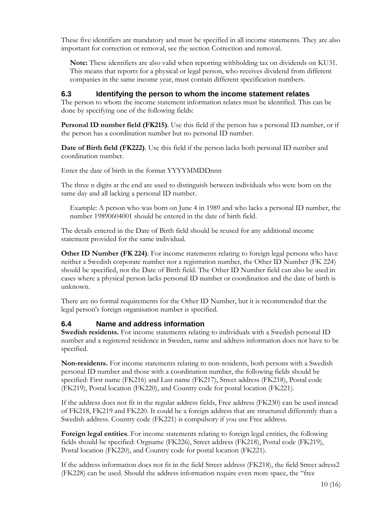These five identifiers are mandatory and must be specified in all income statements. They are also important for correction or removal, see the section [Correction and removal.](#page-11-1)

**Note:** These identifiers are also valid when reporting withholding tax on dividends on KU31. This means that reports for a physical or legal person, who receives dividend from different companies in the same income year, must contain different specification numbers.

#### <span id="page-9-0"></span>**6.3 Identifying the person to whom the income statement relates**

The person to whom the income statement information relates must be identified. This can be done by specifying one of the following fields:

**Personal ID number field (FK215)**. Use this field if the person has a personal ID number, or if the person has a coordination number but no personal ID number.

**Date of Birth field (FK222)**. Use this field if the person lacks both personal ID number and coordination number.

Enter the date of birth in the format YYYYMMDDnnn

The three n digits at the end are used to distinguish between individuals who were born on the same day and all lacking a personal ID number.

Example: A person who was born on June 4 in 1989 and who lacks a personal ID number, the number 19890604001 should be entered in the date of birth field.

The details entered in the Date of Birth field should be reused for any additional income statement provided for the same individual.

**Other ID Number (FK 224).** For income statements relating to foreign legal persons who have neither a Swedish corporate number nor a registration number, the Other ID Number (FK 224) should be specified, not the Date of Birth field. The Other ID Number field can also be used in cases where a physical person lacks personal ID number or coordination and the date of birth is unknown.

There are no formal requirements for the Other ID Number, but it is recommended that the legal person's foreign organisation number is specified.

#### <span id="page-9-1"></span>**6.4 Name and address information**

**Swedish residents.** For income statements relating to individuals with a Swedish personal ID number and a registered residence in Sweden, name and address information does not have to be specified.

**Non-residents.** For income statements relating to non-residents, both persons with a Swedish personal ID number and those with a coordination number, the following fields should be specified: First name (FK216) and Last name (FK217), Street address (FK218), Postal code (FK219), Postal location (FK220), and Country code for postal location (FK221).

If the address does not fit in the regular address fields, Free address (FK230) can be used instead of FK218, FK219 and FK220. It could be a foreign address that are structured differently than a Swedish address. Country code (FK221) is compulsory if you use Free address.

**Foreign legal entities**. For income statements relating to foreign legal entities, the following fields should be specified: Orgname (FK226), Street address (FK218), Postal code (FK219), Postal location (FK220), and Country code for postal location (FK221).

If the address information does not fit in the field Street address (FK218), the field Street adress2 (FK228) can be used. Should the address information require even more space, the "free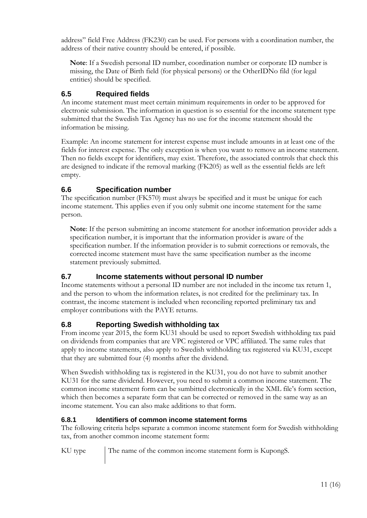address" field Free Address (FK230) can be used. For persons with a coordination number, the address of their native country should be entered, if possible.

**Note**: If a Swedish personal ID number, coordination number or corporate ID number is missing, the Date of Birth field (for physical persons) or the OtherIDNo fild (for legal entities) should be specified.

### <span id="page-10-0"></span>**6.5 Required fields**

An income statement must meet certain minimum requirements in order to be approved for electronic submission. The information in question is so essential for the income statement type submitted that the Swedish Tax Agency has no use for the income statement should the information be missing.

Example: An income statement for interest expense must include amounts in at least one of the fields for interest expense. The only exception is when you want to remove an income statement. Then no fields except for identifiers, may exist. Therefore, the associated controls that check this are designed to indicate if the removal marking (FK205) as well as the essential fields are left empty.

#### <span id="page-10-1"></span>**6.6 Specification number**

The specification number (FK570) must always be specified and it must be unique for each income statement. This applies even if you only submit one income statement for the same person.

**Note**: If the person submitting an income statement for another information provider adds a specification number, it is important that the information provider is aware of the specification number. If the information provider is to submit corrections or removals, the corrected income statement must have the same specification number as the income statement previously submitted.

#### <span id="page-10-2"></span>**6.7 Income statements without personal ID number**

Income statements without a personal ID number are not included in the income tax return 1, and the person to whom the information relates, is not credited for the preliminary tax. In contrast, the income statement is included when reconciling reported preliminary tax and employer contributions with the PAYE returns.

#### <span id="page-10-3"></span>**6.8 Reporting Swedish withholding tax**

From income year 2015, the form KU31 should be used to report Swedish withholding tax paid on dividends from companies that are VPC registered or VPC affiliated. The same rules that apply to income statements, also apply to Swedish withholding tax registered via KU31, except that they are submitted four (4) months after the dividend.

When Swedish withholding tax is registered in the KU31, you do not have to submit another KU31 for the same dividend. However, you need to submit a common income statement. The common income statement form can be sumbitted electronically in the XML file's form section, which then becomes a separate form that can be corrected or removed in the same way as an income statement. You can also make additions to that form.

#### <span id="page-10-4"></span>**6.8.1 Identifiers of common income statement forms**

The following criteria helps separate a common income statement form for Swedish withholding tax, from another common income statement form:

KU type The name of the common income statement form is KupongS.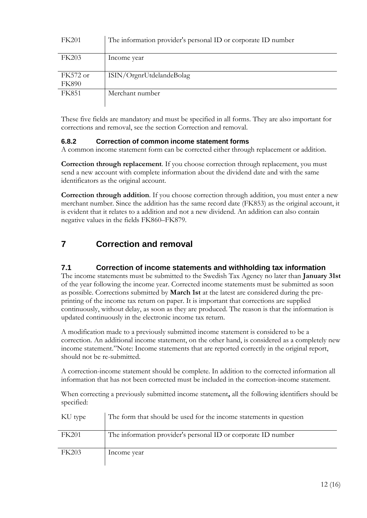| <b>FK201</b>               | The information provider's personal ID or corporate ID number |
|----------------------------|---------------------------------------------------------------|
| <b>FK203</b>               | Income year                                                   |
| $FK572$ or<br><b>FK890</b> | ISIN/OrgnrUtdelandeBolag                                      |
| <b>FK851</b>               | Merchant number                                               |

These five fields are mandatory and must be specified in all forms. They are also important for corrections and removal, see the section [Correction and removal.](#page-11-1)

#### <span id="page-11-0"></span>**6.8.2 Correction of common income statement forms**

A common income statement form can be corrected either through replacement or addition.

**Correction through replacement**. If you choose correction through replacement, you must send a new account with complete information about the dividend date and with the same identificators as the original account.

**Correction through addition**. If you choose correction through addition, you must enter a new merchant number. Since the addition has the same record date (FK853) as the original account, it is evident that it relates to a addition and not a new dividend. An addition can also contain negative values in the fields FK860–FK879.

# <span id="page-11-1"></span>**7 Correction and removal**

#### <span id="page-11-2"></span>**7.1 Correction of income statements and withholding tax information**

The income statements must be submitted to the Swedish Tax Agency no later than **January 31st** of the year following the income year. Corrected income statements must be submitted as soon as possible. Corrections submitted by **March 1st** at the latest are considered during the preprinting of the income tax return on paper. It is important that corrections are supplied continuously, without delay, as soon as they are produced. The reason is that the information is updated continuously in the electronic income tax return.

A modification made to a previously submitted income statement is considered to be a correction. An additional income statement, on the other hand, is considered as a completely new income statement."Note: Income statements that are reported correctly in the original report, should not be re-submitted.

A correction-income statement should be complete. In addition to the corrected information all information that has not been corrected must be included in the correction-income statement.

When correcting a previously submitted income statement**,** all the following identifiers should be specified:

| KU type      | The form that should be used for the income statements in question |
|--------------|--------------------------------------------------------------------|
| <b>FK201</b> | The information provider's personal ID or corporate ID number      |
| <b>FK203</b> | Income year                                                        |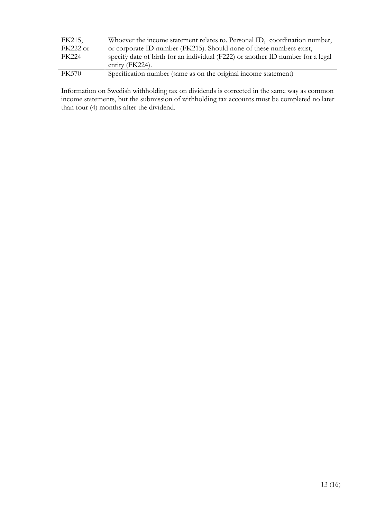| FK215,                                                                          | Whoever the income statement relates to. Personal ID, coordination number,      |
|---------------------------------------------------------------------------------|---------------------------------------------------------------------------------|
| or corporate ID number (FK215). Should none of these numbers exist,<br>FK222 or |                                                                                 |
| <b>FK224</b>                                                                    | specify date of birth for an individual (F222) or another ID number for a legal |
|                                                                                 | entity (FK224).                                                                 |
| <b>FK570</b>                                                                    | Specification number (same as on the original income statement)                 |
|                                                                                 |                                                                                 |

Information on Swedish withholding tax on dividends is corrected in the same way as common<br>Information on Swedish withholding tax accounts must be completed no later income statements, but the submission of withholding tax accounts must be completed no later than four (4) months after the dividend.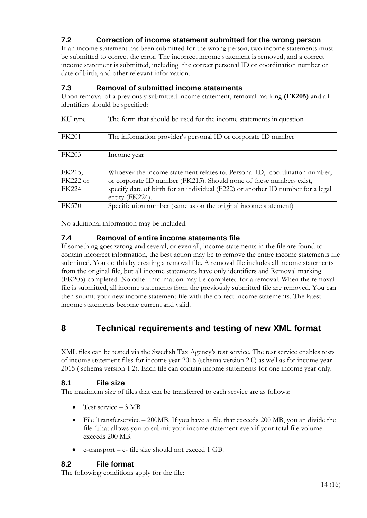### <span id="page-13-0"></span>**7.2 Correction of income statement submitted for the wrong person**

If an income statement has been submitted for the wrong person, two income statements must be submitted to correct the error. The incorrect income statement is removed, and a correct income statement is submitted, including the correct personal ID or coordination number or date of birth, and other relevant information.

#### <span id="page-13-1"></span>**7.3 Removal of submitted income statements**

Upon removal of a previously submitted income statement, removal marking **(FK205)** and all identifiers should be specified:

| KU type      | The form that should be used for the income statements in question              |
|--------------|---------------------------------------------------------------------------------|
| <b>FK201</b> | The information provider's personal ID or corporate ID number                   |
| <b>FK203</b> | Income year                                                                     |
| FK215,       | Whoever the income statement relates to. Personal ID, coordination number,      |
| $FK222$ or   | or corporate ID number (FK215). Should none of these numbers exist,             |
| <b>FK224</b> | specify date of birth for an individual (F222) or another ID number for a legal |
|              | entity (FK224).                                                                 |
| <b>FK570</b> | Specification number (same as on the original income statement)                 |

No additional information may be included.

#### <span id="page-13-2"></span>**7.4 Removal of entire income statements file**

If something goes wrong and several, or even all, income statements in the file are found to contain incorrect information, the best action may be to remove the entire income statements file submitted. You do this by creating a removal file. A removal file includes all income statements from the original file, but all income statements have only identifiers and Removal marking (FK205) completed. No other information may be completed for a removal. When the removal file is submitted, all income statements from the previously submitted file are removed. You can then submit your new income statement file with the correct income statements. The latest income statements become current and valid.

# <span id="page-13-3"></span>**8 Technical requirements and testing of new XML format**

XML files can be tested via the Swedish Tax Agency's test service. The test service enables tests of income statement files for income year 2016 (schema version 2.0) as well as for income year 2015 ( schema version 1.2). Each file can contain income statements for one income year only.

#### <span id="page-13-4"></span>**8.1 File size**

The maximum size of files that can be transferred to each service are as follows:

- Test service  $-3 \text{ MB}$
- File Transferservice 200MB. If you have a file that exceeds 200 MB, you an divide the file. That allows you to submit your income statement even if your total file volume exceeds 200 MB.
- e-transport e- file size should not exceed 1 GB.

#### <span id="page-13-5"></span>**8.2 File format**

The following conditions apply for the file: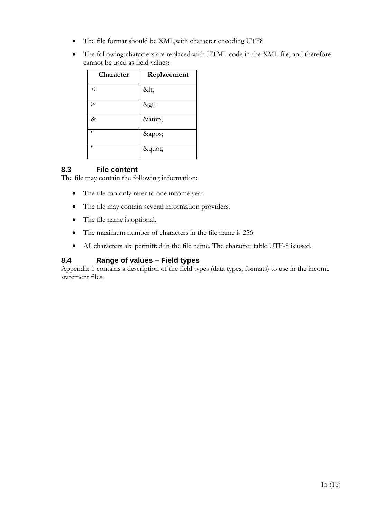- The file format should be XML,with character encoding UTF8
- The following characters are replaced with HTML code in the XML file, and therefore cannot be used as field values:

| Character | Replacement |
|-----------|-------------|
| $\,<\,$   | <           |
| $\,>$     | >           |
| &         | &           |
|           | '           |
| "         | "           |

#### <span id="page-14-0"></span>**8.3 File content**

The file may contain the following information:

- The file can only refer to one income year.
- The file may contain several information providers.
- The file name is optional.
- The maximum number of characters in the file name is 256.
- All characters are permitted in the file name. The character table UTF-8 is used.

#### <span id="page-14-1"></span>**8.4 Range of values – Field types**

Appendix 1 contains a description of the field types (data types, formats) to use in the income statement files.